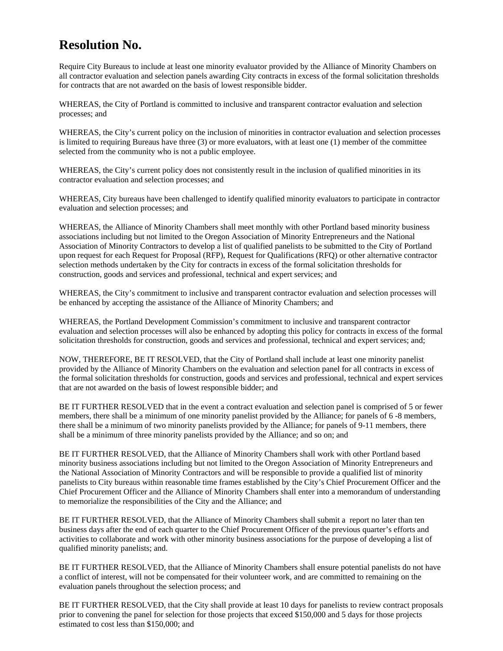## **Resolution No.**

Require City Bureaus to include at least one minority evaluator provided by the Alliance of Minority Chambers on all contractor evaluation and selection panels awarding City contracts in excess of the formal solicitation thresholds for contracts that are not awarded on the basis of lowest responsible bidder.

WHEREAS, the City of Portland is committed to inclusive and transparent contractor evaluation and selection processes; and

WHEREAS, the City's current policy on the inclusion of minorities in contractor evaluation and selection processes is limited to requiring Bureaus have three (3) or more evaluators, with at least one (1) member of the committee selected from the community who is not a public employee.

WHEREAS, the City's current policy does not consistently result in the inclusion of qualified minorities in its contractor evaluation and selection processes; and

WHEREAS, City bureaus have been challenged to identify qualified minority evaluators to participate in contractor evaluation and selection processes; and

WHEREAS, the Alliance of Minority Chambers shall meet monthly with other Portland based minority business associations including but not limited to the Oregon Association of Minority Entrepreneurs and the National Association of Minority Contractors to develop a list of qualified panelists to be submitted to the City of Portland upon request for each Request for Proposal (RFP), Request for Qualifications (RFQ) or other alternative contractor selection methods undertaken by the City for contracts in excess of the formal solicitation thresholds for construction, goods and services and professional, technical and expert services; and

WHEREAS, the City's commitment to inclusive and transparent contractor evaluation and selection processes will be enhanced by accepting the assistance of the Alliance of Minority Chambers; and

WHEREAS, the Portland Development Commission's commitment to inclusive and transparent contractor evaluation and selection processes will also be enhanced by adopting this policy for contracts in excess of the formal solicitation thresholds for construction, goods and services and professional, technical and expert services; and;

NOW, THEREFORE, BE IT RESOLVED, that the City of Portland shall include at least one minority panelist provided by the Alliance of Minority Chambers on the evaluation and selection panel for all contracts in excess of the formal solicitation thresholds for construction, goods and services and professional, technical and expert services that are not awarded on the basis of lowest responsible bidder; and

BE IT FURTHER RESOLVED that in the event a contract evaluation and selection panel is comprised of 5 or fewer members, there shall be a minimum of one minority panelist provided by the Alliance; for panels of 6 -8 members, there shall be a minimum of two minority panelists provided by the Alliance; for panels of 9-11 members, there shall be a minimum of three minority panelists provided by the Alliance; and so on; and

BE IT FURTHER RESOLVED, that the Alliance of Minority Chambers shall work with other Portland based minority business associations including but not limited to the Oregon Association of Minority Entrepreneurs and the National Association of Minority Contractors and will be responsible to provide a qualified list of minority panelists to City bureaus within reasonable time frames established by the City's Chief Procurement Officer and the Chief Procurement Officer and the Alliance of Minority Chambers shall enter into a memorandum of understanding to memorialize the responsibilities of the City and the Alliance; and

BE IT FURTHER RESOLVED, that the Alliance of Minority Chambers shall submit a report no later than ten business days after the end of each quarter to the Chief Procurement Officer of the previous quarter's efforts and activities to collaborate and work with other minority business associations for the purpose of developing a list of qualified minority panelists; and.

BE IT FURTHER RESOLVED, that the Alliance of Minority Chambers shall ensure potential panelists do not have a conflict of interest, will not be compensated for their volunteer work, and are committed to remaining on the evaluation panels throughout the selection process; and

BE IT FURTHER RESOLVED, that the City shall provide at least 10 days for panelists to review contract proposals prior to convening the panel for selection for those projects that exceed \$150,000 and 5 days for those projects estimated to cost less than \$150,000; and